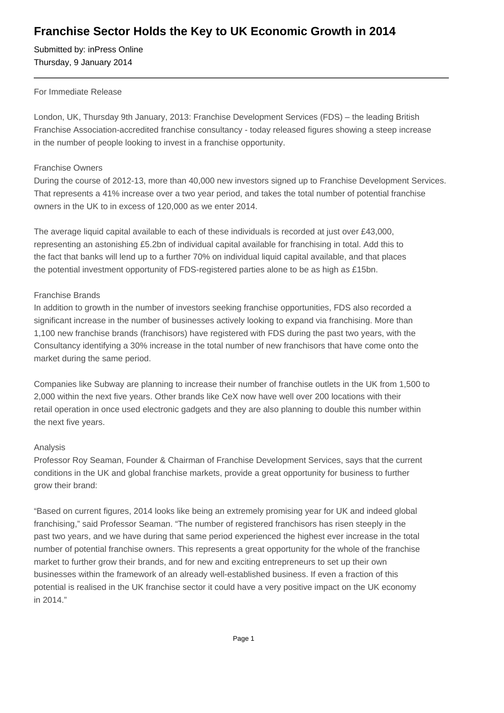## **Franchise Sector Holds the Key to UK Economic Growth in 2014**

Submitted by: inPress Online Thursday, 9 January 2014

#### For Immediate Release

London, UK, Thursday 9th January, 2013: Franchise Development Services (FDS) – the leading British Franchise Association-accredited franchise consultancy - today released figures showing a steep increase in the number of people looking to invest in a franchise opportunity.

#### Franchise Owners

During the course of 2012-13, more than 40,000 new investors signed up to Franchise Development Services. That represents a 41% increase over a two year period, and takes the total number of potential franchise owners in the UK to in excess of 120,000 as we enter 2014.

The average liquid capital available to each of these individuals is recorded at just over £43,000, representing an astonishing £5.2bn of individual capital available for franchising in total. Add this to the fact that banks will lend up to a further 70% on individual liquid capital available, and that places the potential investment opportunity of FDS-registered parties alone to be as high as £15bn.

### Franchise Brands

In addition to growth in the number of investors seeking franchise opportunities, FDS also recorded a significant increase in the number of businesses actively looking to expand via franchising. More than 1,100 new franchise brands (franchisors) have registered with FDS during the past two years, with the Consultancy identifying a 30% increase in the total number of new franchisors that have come onto the market during the same period.

Companies like Subway are planning to increase their number of franchise outlets in the UK from 1,500 to 2,000 within the next five years. Other brands like CeX now have well over 200 locations with their retail operation in once used electronic gadgets and they are also planning to double this number within the next five years.

#### Analysis

Professor Roy Seaman, Founder & Chairman of Franchise Development Services, says that the current conditions in the UK and global franchise markets, provide a great opportunity for business to further grow their brand:

"Based on current figures, 2014 looks like being an extremely promising year for UK and indeed global franchising," said Professor Seaman. "The number of registered franchisors has risen steeply in the past two years, and we have during that same period experienced the highest ever increase in the total number of potential franchise owners. This represents a great opportunity for the whole of the franchise market to further grow their brands, and for new and exciting entrepreneurs to set up their own businesses within the framework of an already well-established business. If even a fraction of this potential is realised in the UK franchise sector it could have a very positive impact on the UK economy in 2014."